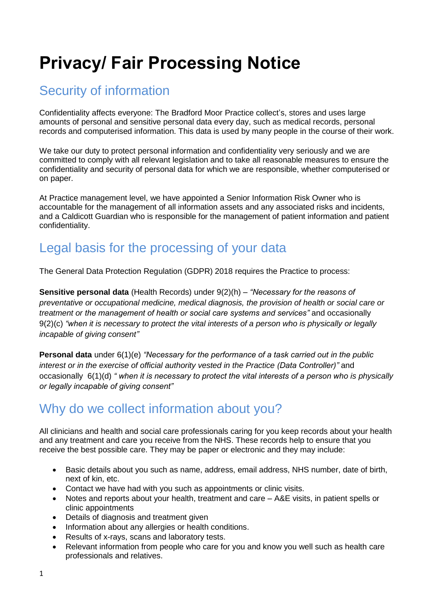# **Privacy/ Fair Processing Notice**

# Security of information

Confidentiality affects everyone: The Bradford Moor Practice collect's, stores and uses large amounts of personal and sensitive personal data every day, such as medical records, personal records and computerised information. This data is used by many people in the course of their work.

We take our duty to protect personal information and confidentiality very seriously and we are committed to comply with all relevant legislation and to take all reasonable measures to ensure the confidentiality and security of personal data for which we are responsible, whether computerised or on paper.

At Practice management level, we have appointed a Senior Information Risk Owner who is accountable for the management of all information assets and any associated risks and incidents, and a Caldicott Guardian who is responsible for the management of patient information and patient confidentiality.

# Legal basis for the processing of your data

The General Data Protection Regulation (GDPR) 2018 requires the Practice to process:

**Sensitive personal data** (Health Records) under 9(2)(h) – *"Necessary for the reasons of preventative or occupational medicine, medical diagnosis, the provision of health or social care or treatment or the management of health or social care systems and services"* and occasionally 9(2)(c) *"when it is necessary to protect the vital interests of a person who is physically or legally incapable of giving consent"*

**Personal data** under 6(1)(e) *"Necessary for the performance of a task carried out in the public interest or in the exercise of official authority vested in the Practice (Data Controller)"* and occasionally 6(1)(d) *" when it is necessary to protect the vital interests of a person who is physically or legally incapable of giving consent"*

### Why do we collect information about you?

All clinicians and health and social care professionals caring for you keep records about your health and any treatment and care you receive from the NHS. These records help to ensure that you receive the best possible care. They may be paper or electronic and they may include:

- Basic details about you such as name, address, email address, NHS number, date of birth, next of kin, etc.
- Contact we have had with you such as appointments or clinic visits.
- Notes and reports about your health, treatment and care A&E visits, in patient spells or clinic appointments
- Details of diagnosis and treatment given
- Information about any allergies or health conditions.
- Results of x-rays, scans and laboratory tests.
- Relevant information from people who care for you and know you well such as health care professionals and relatives.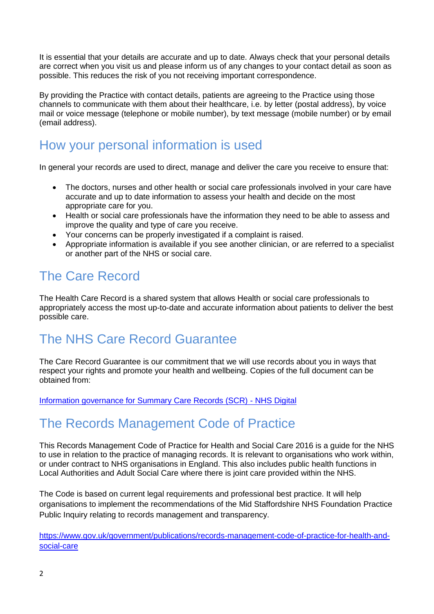It is essential that your details are accurate and up to date. Always check that your personal details are correct when you visit us and please inform us of any changes to your contact detail as soon as possible. This reduces the risk of you not receiving important correspondence.

By providing the Practice with contact details, patients are agreeing to the Practice using those channels to communicate with them about their healthcare, i.e. by letter (postal address), by voice mail or voice message (telephone or mobile number), by text message (mobile number) or by email (email address).

### How your personal information is used

In general your records are used to direct, manage and deliver the care you receive to ensure that:

- The doctors, nurses and other health or social care professionals involved in your care have accurate and up to date information to assess your health and decide on the most appropriate care for you.
- Health or social care professionals have the information they need to be able to assess and improve the quality and type of care you receive.
- Your concerns can be properly investigated if a complaint is raised.
- Appropriate information is available if you see another clinician, or are referred to a specialist or another part of the NHS or social care.

### The Care Record

The Health Care Record is a shared system that allows Health or social care professionals to appropriately access the most up-to-date and accurate information about patients to deliver the best possible care.

# The NHS Care Record Guarantee

The Care Record Guarantee is our commitment that we will use records about you in ways that respect your rights and promote your health and wellbeing. Copies of the full document can be obtained from:

[Information governance for Summary Care Records \(SCR\) -](https://digital.nhs.uk/services/summary-care-records-scr/information-governance-for-scr) NHS Digital

### The Records Management Code of Practice

This Records Management Code of Practice for Health and Social Care 2016 is a guide for the NHS to use in relation to the practice of managing records. It is relevant to organisations who work within, or under contract to NHS organisations in England. This also includes public health functions in Local Authorities and Adult Social Care where there is joint care provided within the NHS.

The Code is based on current legal requirements and professional best practice. It will help organisations to implement the recommendations of the Mid Staffordshire NHS Foundation Practice Public Inquiry relating to records management and transparency.

[https://www.gov.uk/government/publications/records-management-code-of-practice-for-health-and](https://www.gov.uk/government/publications/records-management-code-of-practice-for-health-and-social-care)[social-care](https://www.gov.uk/government/publications/records-management-code-of-practice-for-health-and-social-care)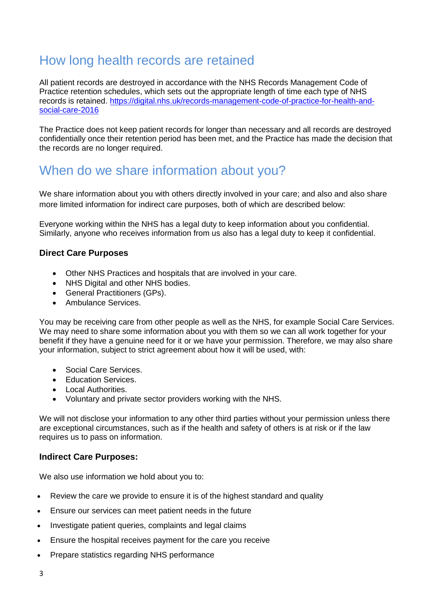### How long health records are retained

All patient records are destroyed in accordance with the NHS Records Management Code of Practice retention schedules, which sets out the appropriate length of time each type of NHS records is retained. [https://digital.nhs.uk/records-management-code-of-practice-for-health-and](https://digital.nhs.uk/records-management-code-of-practice-for-health-and-social-care-2016)[social-care-2016](https://digital.nhs.uk/records-management-code-of-practice-for-health-and-social-care-2016)

The Practice does not keep patient records for longer than necessary and all records are destroyed confidentially once their retention period has been met, and the Practice has made the decision that the records are no longer required.

### When do we share information about you?

We share information about you with others directly involved in your care; and also and also share more limited information for indirect care purposes, both of which are described below:

Everyone working within the NHS has a legal duty to keep information about you confidential. Similarly, anyone who receives information from us also has a legal duty to keep it confidential.

### **Direct Care Purposes**

- Other NHS Practices and hospitals that are involved in your care.
- NHS Digital and other NHS bodies.
- General Practitioners (GPs).
- Ambulance Services.

You may be receiving care from other people as well as the NHS, for example Social Care Services. We may need to share some information about you with them so we can all work together for your benefit if they have a genuine need for it or we have your permission. Therefore, we may also share your information, subject to strict agreement about how it will be used, with:

- Social Care Services.
- **Education Services**
- Local Authorities.
- Voluntary and private sector providers working with the NHS.

We will not disclose your information to any other third parties without your permission unless there are exceptional circumstances, such as if the health and safety of others is at risk or if the law requires us to pass on information.

### **Indirect Care Purposes:**

We also use information we hold about you to:

- Review the care we provide to ensure it is of the highest standard and quality
- Ensure our services can meet patient needs in the future
- Investigate patient queries, complaints and legal claims
- Ensure the hospital receives payment for the care you receive
- Prepare statistics regarding NHS performance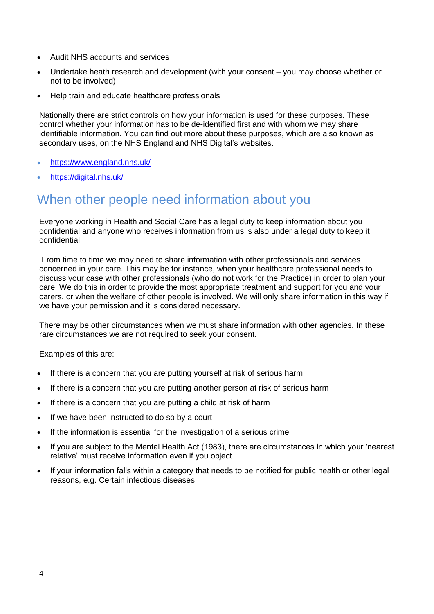- Audit NHS accounts and services
- Undertake heath research and development (with your consent you may choose whether or not to be involved)
- Help train and educate healthcare professionals

Nationally there are strict controls on how your information is used for these purposes. These control whether your information has to be de-identified first and with whom we may share identifiable information. You can find out more about these purposes, which are also known as secondary uses, on the NHS England and NHS Digital's websites:

- <https://www.england.nhs.uk/>
- <https://digital.nhs.uk/>

### When other people need information about you

Everyone working in Health and Social Care has a legal duty to keep information about you confidential and anyone who receives information from us is also under a legal duty to keep it confidential.

From time to time we may need to share information with other professionals and services concerned in your care. This may be for instance, when your healthcare professional needs to discuss your case with other professionals (who do not work for the Practice) in order to plan your care. We do this in order to provide the most appropriate treatment and support for you and your carers, or when the welfare of other people is involved. We will only share information in this way if we have your permission and it is considered necessary.

There may be other circumstances when we must share information with other agencies. In these rare circumstances we are not required to seek your consent.

Examples of this are:

- If there is a concern that you are putting yourself at risk of serious harm
- If there is a concern that you are putting another person at risk of serious harm
- If there is a concern that you are putting a child at risk of harm
- If we have been instructed to do so by a court
- If the information is essential for the investigation of a serious crime
- If you are subject to the Mental Health Act (1983), there are circumstances in which your 'nearest relative' must receive information even if you object
- If your information falls within a category that needs to be notified for public health or other legal reasons, e.g. Certain infectious diseases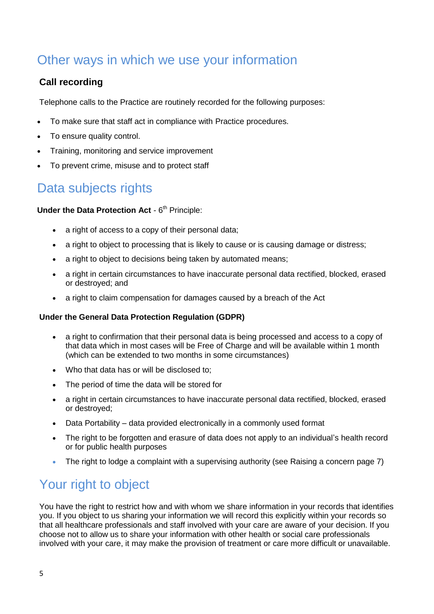# Other ways in which we use your information

### **Call recording**

Telephone calls to the Practice are routinely recorded for the following purposes:

- To make sure that staff act in compliance with Practice procedures.
- To ensure quality control.
- Training, monitoring and service improvement
- To prevent crime, misuse and to protect staff

### Data subjects rights

### **Under the Data Protection Act - 6<sup>th</sup> Principle:**

- a right of access to a copy of their personal data;
- a right to object to processing that is likely to cause or is causing damage or distress;
- a right to object to decisions being taken by automated means;
- a right in certain circumstances to have inaccurate personal data rectified, blocked, erased or destroyed; and
- a right to claim compensation for damages caused by a breach of the Act

### **Under the General Data Protection Regulation (GDPR)**

- a right to confirmation that their personal data is being processed and access to a copy of that data which in most cases will be Free of Charge and will be available within 1 month (which can be extended to two months in some circumstances)
- Who that data has or will be disclosed to:
- The period of time the data will be stored for
- a right in certain circumstances to have inaccurate personal data rectified, blocked, erased or destroyed;
- Data Portability data provided electronically in a commonly used format
- The right to be forgotten and erasure of data does not apply to an individual's health record or for public health purposes
- The right to lodge a complaint with a supervising authority (see Raising a concern page 7)

### Your right to object

You have the right to restrict how and with whom we share information in your records that identifies you. If you object to us sharing your information we will record this explicitly within your records so that all healthcare professionals and staff involved with your care are aware of your decision. If you choose not to allow us to share your information with other health or social care professionals involved with your care, it may make the provision of treatment or care more difficult or unavailable.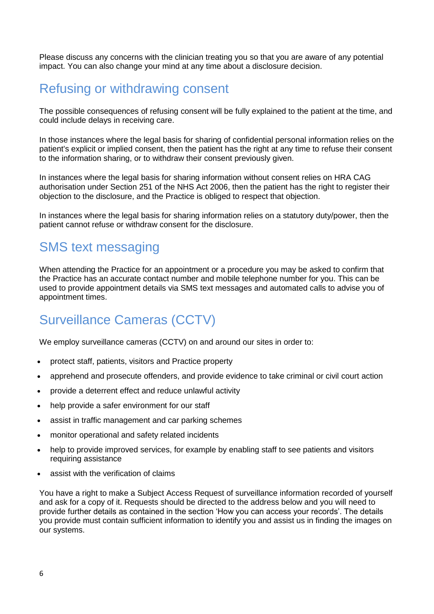Please discuss any concerns with the clinician treating you so that you are aware of any potential impact. You can also change your mind at any time about a disclosure decision.

### Refusing or withdrawing consent

The possible consequences of refusing consent will be fully explained to the patient at the time, and could include delays in receiving care.

In those instances where the legal basis for sharing of confidential personal information relies on the patient's explicit or implied consent, then the patient has the right at any time to refuse their consent to the information sharing, or to withdraw their consent previously given.

In instances where the legal basis for sharing information without consent relies on HRA CAG authorisation under Section 251 of the NHS Act 2006, then the patient has the right to register their objection to the disclosure, and the Practice is obliged to respect that objection.

In instances where the legal basis for sharing information relies on a statutory duty/power, then the patient cannot refuse or withdraw consent for the disclosure.

### SMS text messaging

When attending the Practice for an appointment or a procedure you may be asked to confirm that the Practice has an accurate contact number and mobile telephone number for you. This can be used to provide appointment details via SMS text messages and automated calls to advise you of appointment times.

# Surveillance Cameras (CCTV)

We employ surveillance cameras (CCTV) on and around our sites in order to:

- protect staff, patients, visitors and Practice property
- apprehend and prosecute offenders, and provide evidence to take criminal or civil court action
- provide a deterrent effect and reduce unlawful activity
- help provide a safer environment for our staff
- assist in traffic management and car parking schemes
- monitor operational and safety related incidents
- help to provide improved services, for example by enabling staff to see patients and visitors requiring assistance
- assist with the verification of claims

You have a right to make a Subject Access Request of surveillance information recorded of yourself and ask for a copy of it. Requests should be directed to the address below and you will need to provide further details as contained in the section 'How you can access your records'. The details you provide must contain sufficient information to identify you and assist us in finding the images on our systems.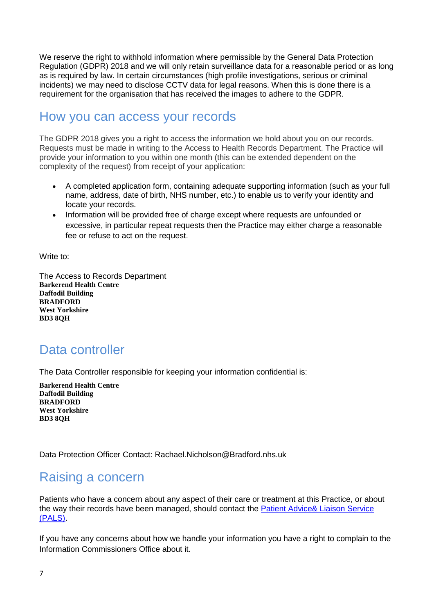We reserve the right to withhold information where permissible by the General Data Protection Regulation (GDPR) 2018 and we will only retain surveillance data for a reasonable period or as long as is required by law. In certain circumstances (high profile investigations, serious or criminal incidents) we may need to disclose CCTV data for legal reasons. When this is done there is a requirement for the organisation that has received the images to adhere to the GDPR.

### How you can access your records

The GDPR 2018 gives you a right to access the information we hold about you on our records. Requests must be made in writing to the Access to Health Records Department. The Practice will provide your information to you within one month (this can be extended dependent on the complexity of the request) from receipt of your application:

- A completed application form, containing adequate supporting information (such as your full name, address, date of birth, NHS number, etc.) to enable us to verify your identity and locate your records.
- Information will be provided free of charge except where requests are unfounded or excessive, in particular repeat requests then the Practice may either charge a reasonable fee or refuse to act on the request.

Write to:

The Access to Records Department **Barkerend Health Centre Daffodil Building BRADFORD West Yorkshire BD3 8QH**

### Data controller

The Data Controller responsible for keeping your information confidential is:

**Barkerend Health Centre Daffodil Building BRADFORD West Yorkshire BD3 8QH**

Data Protection Officer Contact: Rachael Nicholson@Bradford.nhs.uk

### Raising a concern

Patients who have a concern about any aspect of their care or treatment at this Practice, or about the way their records have been managed, should contact the [Patient Advice& Liaison Service](http://www.gwh.nhs.uk/patients-and-visitors/patient-advice-and-liaison-service-(pals)/)  [\(PALS\).](http://www.gwh.nhs.uk/patients-and-visitors/patient-advice-and-liaison-service-(pals)/)

If you have any concerns about how we handle your information you have a right to complain to the Information Commissioners Office about it.